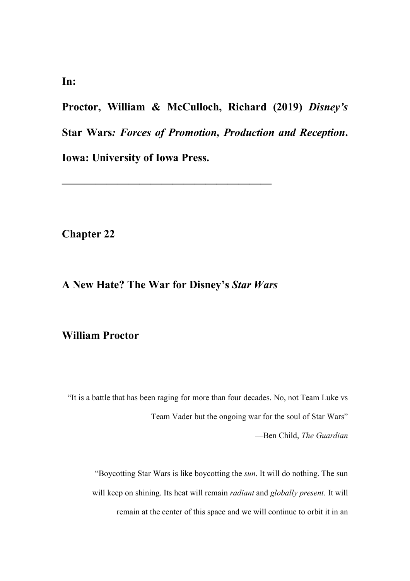**Proctor, William & McCulloch, Richard (2019)** *Disney's*  **Star Wars***: Forces of Promotion, Production and Reception***. Iowa: University of Iowa Press.** 

**Chapter 22**

# **A New Hate? The War for Disney's** *Star Wars*

**———————————————————**

## **William Proctor**

"It is a battle that has been raging for more than four decades. No, not Team Luke vs Team Vader but the ongoing war for the soul of Star Wars" —Ben Child, *The Guardian*

"Boycotting Star Wars is like boycotting the *sun*. It will do nothing. The sun will keep on shining. Its heat will remain *radiant* and *globally present*. It will remain at the center of this space and we will continue to orbit it in an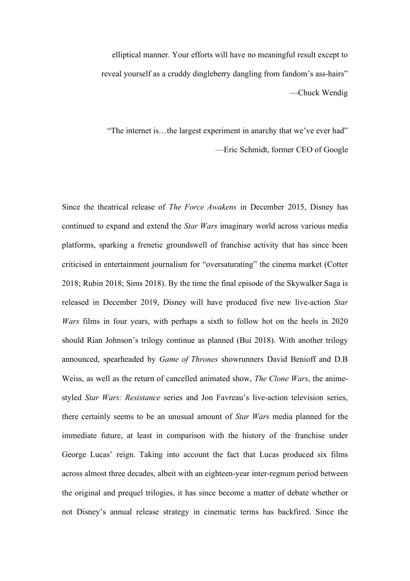elliptical manner. Your efforts will have no meaningful result except to reveal yourself as a cruddy dingleberry dangling from fandom's ass-hairs" —Chuck Wendig

"The internet is…the largest experiment in anarchy that we've ever had" —Eric Schmidt, former CEO of Google

Since the theatrical release of *The Force Awakens* in December 2015, Disney has continued to expand and extend the *Star Wars* imaginary world across various media platforms, sparking a frenetic groundswell of franchise activity that has since been criticised in entertainment journalism for "oversaturating" the cinema market (Cotter 2018; Rubin 2018; Sims 2018). By the time the final episode of the Skywalker Saga is released in December 2019, Disney will have produced five new live-action *Star Wars* films in four years, with perhaps a sixth to follow hot on the heels in 2020 should Rian Johnson's trilogy continue as planned (Bui 2018). With another trilogy announced, spearheaded by *Game of Thrones* showrunners David Benioff and D.B Weiss, as well as the return of cancelled animated show, *The Clone Wars*, the animestyled *Star Wars: Resistance* series and Jon Favreau's live-action television series, there certainly seems to be an unusual amount of *Star Wars* media planned for the immediate future, at least in comparison with the history of the franchise under George Lucas' reign. Taking into account the fact that Lucas produced six films across almost three decades, albeit with an eighteen-year inter-regnum period between the original and prequel trilogies, it has since become a matter of debate whether or not Disney's annual release strategy in cinematic terms has backfired. Since the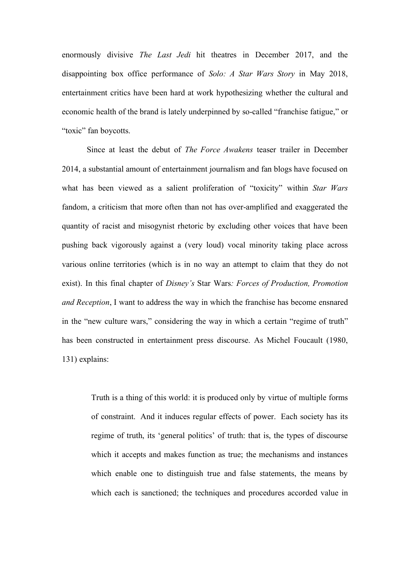enormously divisive *The Last Jedi* hit theatres in December 2017, and the disappointing box office performance of *Solo: A Star Wars Story* in May 2018, entertainment critics have been hard at work hypothesizing whether the cultural and economic health of the brand is lately underpinned by so-called "franchise fatigue," or "toxic" fan boycotts.

Since at least the debut of *The Force Awakens* teaser trailer in December 2014, a substantial amount of entertainment journalism and fan blogs have focused on what has been viewed as a salient proliferation of "toxicity" within *Star Wars* fandom, a criticism that more often than not has over-amplified and exaggerated the quantity of racist and misogynist rhetoric by excluding other voices that have been pushing back vigorously against a (very loud) vocal minority taking place across various online territories (which is in no way an attempt to claim that they do not exist). In this final chapter of *Disney's* Star Wars*: Forces of Production, Promotion and Reception*, I want to address the way in which the franchise has become ensnared in the "new culture wars," considering the way in which a certain "regime of truth" has been constructed in entertainment press discourse. As Michel Foucault (1980, 131) explains:

Truth is a thing of this world: it is produced only by virtue of multiple forms of constraint. And it induces regular effects of power. Each society has its regime of truth, its 'general politics' of truth: that is, the types of discourse which it accepts and makes function as true; the mechanisms and instances which enable one to distinguish true and false statements, the means by which each is sanctioned; the techniques and procedures accorded value in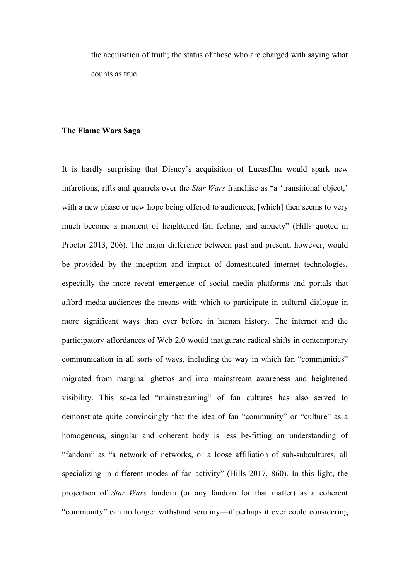the acquisition of truth; the status of those who are charged with saying what counts as true.

#### **The Flame Wars Saga**

It is hardly surprising that Disney's acquisition of Lucasfilm would spark new infarctions, rifts and quarrels over the *Star Wars* franchise as "a 'transitional object,' with a new phase or new hope being offered to audiences, [which] then seems to very much become a moment of heightened fan feeling, and anxiety" (Hills quoted in Proctor 2013, 206). The major difference between past and present, however, would be provided by the inception and impact of domesticated internet technologies, especially the more recent emergence of social media platforms and portals that afford media audiences the means with which to participate in cultural dialogue in more significant ways than ever before in human history. The internet and the participatory affordances of Web 2.0 would inaugurate radical shifts in contemporary communication in all sorts of ways, including the way in which fan "communities" migrated from marginal ghettos and into mainstream awareness and heightened visibility. This so-called "mainstreaming" of fan cultures has also served to demonstrate quite convincingly that the idea of fan "community" or "culture" as a homogenous, singular and coherent body is less be-fitting an understanding of "fandom" as "a network of networks, or a loose affiliation of sub-subcultures, all specializing in different modes of fan activity" (Hills 2017, 860). In this light, the projection of *Star Wars* fandom (or any fandom for that matter) as a coherent "community" can no longer withstand scrutiny—if perhaps it ever could considering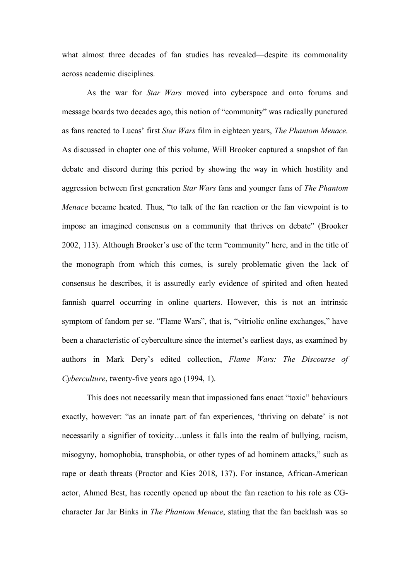what almost three decades of fan studies has revealed—despite its commonality across academic disciplines.

As the war for *Star Wars* moved into cyberspace and onto forums and message boards two decades ago, this notion of "community" was radically punctured as fans reacted to Lucas' first *Star Wars* film in eighteen years, *The Phantom Menace*. As discussed in chapter one of this volume, Will Brooker captured a snapshot of fan debate and discord during this period by showing the way in which hostility and aggression between first generation *Star Wars* fans and younger fans of *The Phantom Menace* became heated. Thus, "to talk of the fan reaction or the fan viewpoint is to impose an imagined consensus on a community that thrives on debate" (Brooker 2002, 113). Although Brooker's use of the term "community" here, and in the title of the monograph from which this comes, is surely problematic given the lack of consensus he describes, it is assuredly early evidence of spirited and often heated fannish quarrel occurring in online quarters. However, this is not an intrinsic symptom of fandom per se. "Flame Wars", that is, "vitriolic online exchanges," have been a characteristic of cyberculture since the internet's earliest days, as examined by authors in Mark Dery's edited collection, *Flame Wars: The Discourse of Cyberculture*, twenty-five years ago (1994, 1).

This does not necessarily mean that impassioned fans enact "toxic" behaviours exactly, however: "as an innate part of fan experiences, 'thriving on debate' is not necessarily a signifier of toxicity…unless it falls into the realm of bullying, racism, misogyny, homophobia, transphobia, or other types of ad hominem attacks," such as rape or death threats (Proctor and Kies 2018, 137). For instance, African-American actor, Ahmed Best, has recently opened up about the fan reaction to his role as CGcharacter Jar Jar Binks in *The Phantom Menace*, stating that the fan backlash was so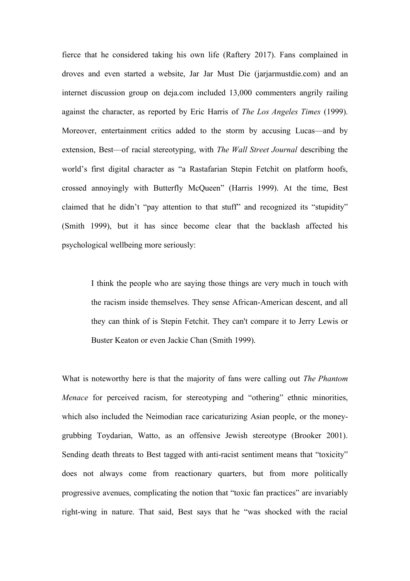fierce that he considered taking his own life (Raftery 2017). Fans complained in droves and even started a website, Jar Jar Must Die (jarjarmustdie.com) and an internet discussion group on deja.com included 13,000 commenters angrily railing against the character, as reported by Eric Harris of *The Los Angeles Times* (1999). Moreover, entertainment critics added to the storm by accusing Lucas—and by extension, Best—of racial stereotyping, with *The Wall Street Journal* describing the world's first digital character as "a Rastafarian Stepin Fetchit on platform hoofs, crossed annoyingly with Butterfly McQueen" (Harris 1999). At the time, Best claimed that he didn't "pay attention to that stuff" and recognized its "stupidity" (Smith 1999), but it has since become clear that the backlash affected his psychological wellbeing more seriously:

I think the people who are saying those things are very much in touch with the racism inside themselves. They sense African-American descent, and all they can think of is Stepin Fetchit. They can't compare it to Jerry Lewis or Buster Keaton or even Jackie Chan (Smith 1999).

What is noteworthy here is that the majority of fans were calling out *The Phantom Menace* for perceived racism, for stereotyping and "othering" ethnic minorities, which also included the Neimodian race caricaturizing Asian people, or the moneygrubbing Toydarian, Watto, as an offensive Jewish stereotype (Brooker 2001). Sending death threats to Best tagged with anti-racist sentiment means that "toxicity" does not always come from reactionary quarters, but from more politically progressive avenues, complicating the notion that "toxic fan practices" are invariably right-wing in nature. That said, Best says that he "was shocked with the racial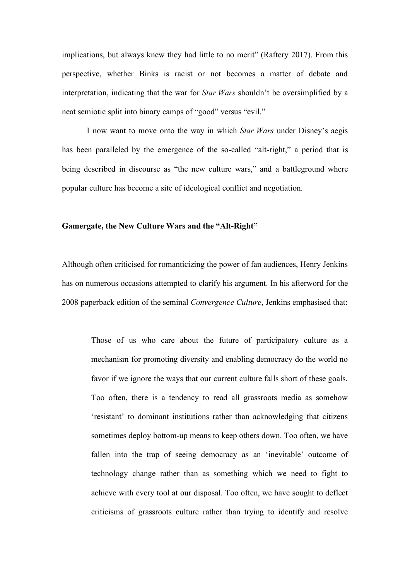implications, but always knew they had little to no merit" (Raftery 2017). From this perspective, whether Binks is racist or not becomes a matter of debate and interpretation, indicating that the war for *Star Wars* shouldn't be oversimplified by a neat semiotic split into binary camps of "good" versus "evil."

I now want to move onto the way in which *Star Wars* under Disney's aegis has been paralleled by the emergence of the so-called "alt-right," a period that is being described in discourse as "the new culture wars," and a battleground where popular culture has become a site of ideological conflict and negotiation.

#### **Gamergate, the New Culture Wars and the "Alt-Right"**

Although often criticised for romanticizing the power of fan audiences, Henry Jenkins has on numerous occasions attempted to clarify his argument. In his afterword for the 2008 paperback edition of the seminal *Convergence Culture*, Jenkins emphasised that:

Those of us who care about the future of participatory culture as a mechanism for promoting diversity and enabling democracy do the world no favor if we ignore the ways that our current culture falls short of these goals. Too often, there is a tendency to read all grassroots media as somehow 'resistant' to dominant institutions rather than acknowledging that citizens sometimes deploy bottom-up means to keep others down. Too often, we have fallen into the trap of seeing democracy as an 'inevitable' outcome of technology change rather than as something which we need to fight to achieve with every tool at our disposal. Too often, we have sought to deflect criticisms of grassroots culture rather than trying to identify and resolve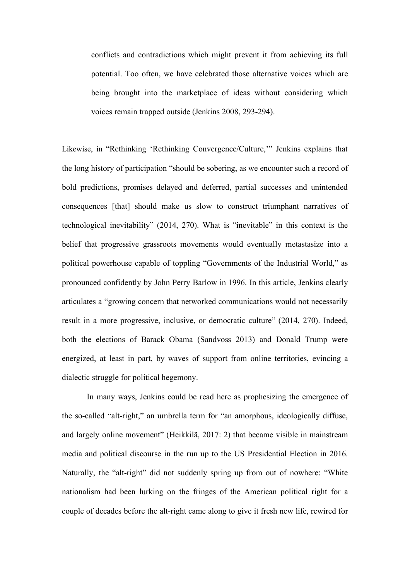conflicts and contradictions which might prevent it from achieving its full potential. Too often, we have celebrated those alternative voices which are being brought into the marketplace of ideas without considering which voices remain trapped outside (Jenkins 2008, 293-294).

Likewise, in "Rethinking 'Rethinking Convergence/Culture,'" Jenkins explains that the long history of participation "should be sobering, as we encounter such a record of bold predictions, promises delayed and deferred, partial successes and unintended consequences [that] should make us slow to construct triumphant narratives of technological inevitability" (2014, 270). What is "inevitable" in this context is the belief that progressive grassroots movements would eventually metastasize into a political powerhouse capable of toppling "Governments of the Industrial World," as pronounced confidently by John Perry Barlow in 1996. In this article, Jenkins clearly articulates a "growing concern that networked communications would not necessarily result in a more progressive, inclusive, or democratic culture" (2014, 270). Indeed, both the elections of Barack Obama (Sandvoss 2013) and Donald Trump were energized, at least in part, by waves of support from online territories, evincing a dialectic struggle for political hegemony.

In many ways, Jenkins could be read here as prophesizing the emergence of the so-called "alt-right," an umbrella term for "an amorphous, ideologically diffuse, and largely online movement" (Heikkilä, 2017: 2) that became visible in mainstream media and political discourse in the run up to the US Presidential Election in 2016. Naturally, the "alt-right" did not suddenly spring up from out of nowhere: "White nationalism had been lurking on the fringes of the American political right for a couple of decades before the alt-right came along to give it fresh new life, rewired for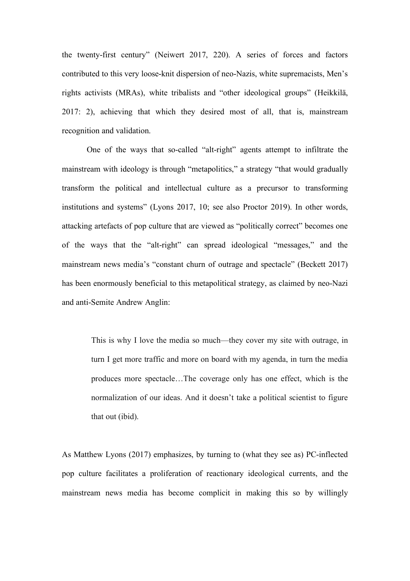the twenty-first century" (Neiwert 2017, 220). A series of forces and factors contributed to this very loose-knit dispersion of neo-Nazis, white supremacists, Men's rights activists (MRAs), white tribalists and "other ideological groups" (Heikkilä, 2017: 2), achieving that which they desired most of all, that is, mainstream recognition and validation.

One of the ways that so-called "alt-right" agents attempt to infiltrate the mainstream with ideology is through "metapolitics," a strategy "that would gradually transform the political and intellectual culture as a precursor to transforming institutions and systems" (Lyons 2017, 10; see also Proctor 2019). In other words, attacking artefacts of pop culture that are viewed as "politically correct" becomes one of the ways that the "alt-right" can spread ideological "messages," and the mainstream news media's "constant churn of outrage and spectacle" (Beckett 2017) has been enormously beneficial to this metapolitical strategy, as claimed by neo-Nazi and anti-Semite Andrew Anglin:

This is why I love the media so much—they cover my site with outrage, in turn I get more traffic and more on board with my agenda, in turn the media produces more spectacle…The coverage only has one effect, which is the normalization of our ideas. And it doesn't take a political scientist to figure that out (ibid).

As Matthew Lyons (2017) emphasizes, by turning to (what they see as) PC-inflected pop culture facilitates a proliferation of reactionary ideological currents, and the mainstream news media has become complicit in making this so by willingly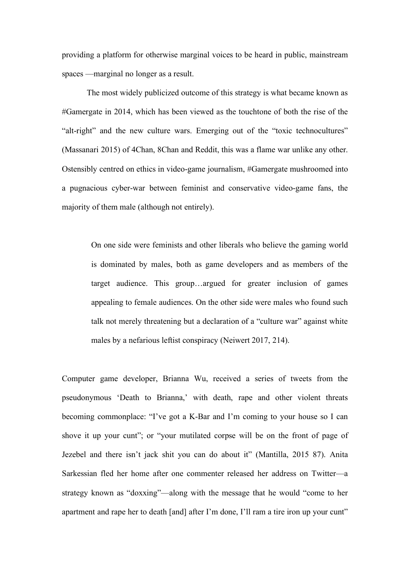providing a platform for otherwise marginal voices to be heard in public, mainstream spaces —marginal no longer as a result.

The most widely publicized outcome of this strategy is what became known as #Gamergate in 2014, which has been viewed as the touchtone of both the rise of the "alt-right" and the new culture wars. Emerging out of the "toxic technocultures" (Massanari 2015) of 4Chan, 8Chan and Reddit, this was a flame war unlike any other. Ostensibly centred on ethics in video-game journalism, #Gamergate mushroomed into a pugnacious cyber-war between feminist and conservative video-game fans, the majority of them male (although not entirely).

On one side were feminists and other liberals who believe the gaming world is dominated by males, both as game developers and as members of the target audience. This group…argued for greater inclusion of games appealing to female audiences. On the other side were males who found such talk not merely threatening but a declaration of a "culture war" against white males by a nefarious leftist conspiracy (Neiwert 2017, 214).

Computer game developer, Brianna Wu, received a series of tweets from the pseudonymous 'Death to Brianna,' with death, rape and other violent threats becoming commonplace: "I've got a K-Bar and I'm coming to your house so I can shove it up your cunt"; or "your mutilated corpse will be on the front of page of Jezebel and there isn't jack shit you can do about it" (Mantilla, 2015 87). Anita Sarkessian fled her home after one commenter released her address on Twitter—a strategy known as "doxxing"—along with the message that he would "come to her apartment and rape her to death [and] after I'm done, I'll ram a tire iron up your cunt"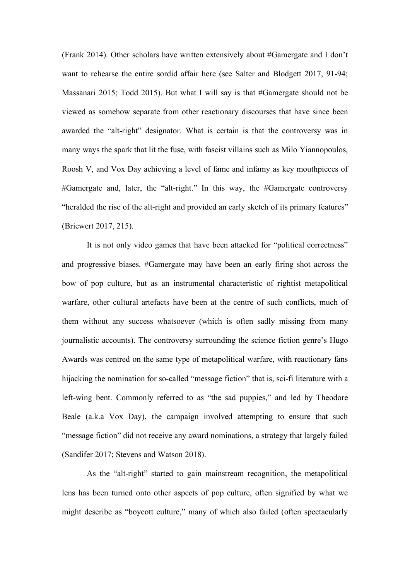(Frank 2014). Other scholars have written extensively about #Gamergate and I don't want to rehearse the entire sordid affair here (see Salter and Blodgett 2017, 91-94; Massanari 2015; Todd 2015). But what I will say is that #Gamergate should not be viewed as somehow separate from other reactionary discourses that have since been awarded the "alt-right" designator. What is certain is that the controversy was in many ways the spark that lit the fuse, with fascist villains such as Milo Yiannopoulos, Roosh V, and Vox Day achieving a level of fame and infamy as key mouthpieces of #Gamergate and, later, the "alt-right." In this way, the #Gamergate controversy "heralded the rise of the alt-right and provided an early sketch of its primary features" (Briewert 2017, 215).

It is not only video games that have been attacked for "political correctness" and progressive biases. #Gamergate may have been an early firing shot across the bow of pop culture, but as an instrumental characteristic of rightist metapolitical warfare, other cultural artefacts have been at the centre of such conflicts, much of them without any success whatsoever (which is often sadly missing from many journalistic accounts). The controversy surrounding the science fiction genre's Hugo Awards was centred on the same type of metapolitical warfare, with reactionary fans hijacking the nomination for so-called "message fiction" that is, sci-fi literature with a left-wing bent. Commonly referred to as "the sad puppies," and led by Theodore Beale (a.k.a Vox Day), the campaign involved attempting to ensure that such "message fiction" did not receive any award nominations, a strategy that largely failed (Sandifer 2017; Stevens and Watson 2018).

As the "alt-right" started to gain mainstream recognition, the metapolitical lens has been turned onto other aspects of pop culture, often signified by what we might describe as "boycott culture," many of which also failed (often spectacularly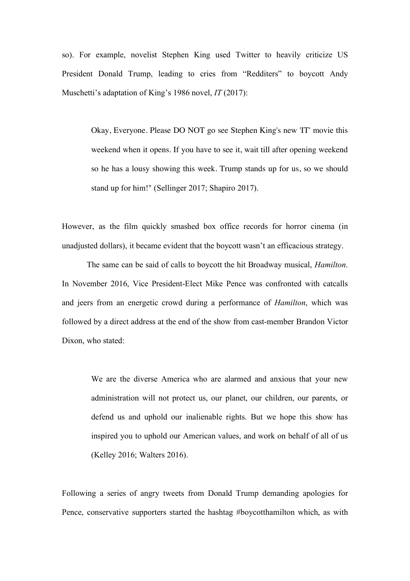so). For example, novelist Stephen King used Twitter to heavily criticize US President Donald Trump, leading to cries from "Redditers" to boycott Andy Muschetti's adaptation of King's 1986 novel, *IT* (2017):

Okay, Everyone. Please DO NOT go see Stephen King's new 'IT' movie this weekend when it opens. If you have to see it, wait till after opening weekend so he has a lousy showing this week. Trump stands up for us, so we should stand up for him!" (Sellinger 2017; Shapiro 2017).

However, as the film quickly smashed box office records for horror cinema (in unadjusted dollars), it became evident that the boycott wasn't an efficacious strategy.

The same can be said of calls to boycott the hit Broadway musical, *Hamilton*. In November 2016, Vice President-Elect Mike Pence was confronted with catcalls and jeers from an energetic crowd during a performance of *Hamilton*, which was followed by a direct address at the end of the show from cast-member Brandon Victor Dixon, who stated:

We are the diverse America who are alarmed and anxious that your new administration will not protect us, our planet, our children, our parents, or defend us and uphold our inalienable rights. But we hope this show has inspired you to uphold our American values, and work on behalf of all of us (Kelley 2016; Walters 2016).

Following a series of angry tweets from Donald Trump demanding apologies for Pence, conservative supporters started the hashtag #boycotthamilton which, as with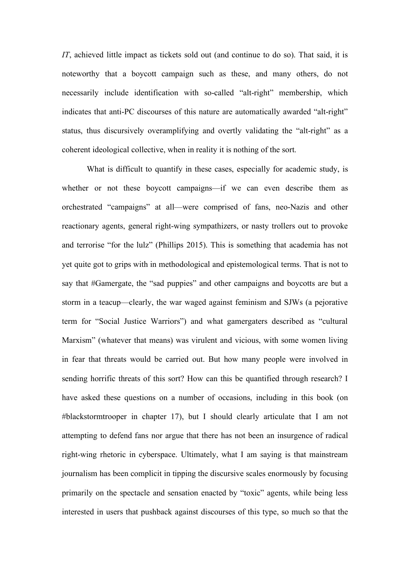*IT*, achieved little impact as tickets sold out (and continue to do so). That said, it is noteworthy that a boycott campaign such as these, and many others, do not necessarily include identification with so-called "alt-right" membership, which indicates that anti-PC discourses of this nature are automatically awarded "alt-right" status, thus discursively overamplifying and overtly validating the "alt-right" as a coherent ideological collective, when in reality it is nothing of the sort.

What is difficult to quantify in these cases, especially for academic study, is whether or not these boycott campaigns—if we can even describe them as orchestrated "campaigns" at all—were comprised of fans, neo-Nazis and other reactionary agents, general right-wing sympathizers, or nasty trollers out to provoke and terrorise "for the lulz" (Phillips 2015). This is something that academia has not yet quite got to grips with in methodological and epistemological terms. That is not to say that #Gamergate, the "sad puppies" and other campaigns and boycotts are but a storm in a teacup—clearly, the war waged against feminism and SJWs (a pejorative term for "Social Justice Warriors") and what gamergaters described as "cultural Marxism" (whatever that means) was virulent and vicious, with some women living in fear that threats would be carried out. But how many people were involved in sending horrific threats of this sort? How can this be quantified through research? I have asked these questions on a number of occasions, including in this book (on #blackstormtrooper in chapter 17), but I should clearly articulate that I am not attempting to defend fans nor argue that there has not been an insurgence of radical right-wing rhetoric in cyberspace. Ultimately, what I am saying is that mainstream journalism has been complicit in tipping the discursive scales enormously by focusing primarily on the spectacle and sensation enacted by "toxic" agents, while being less interested in users that pushback against discourses of this type, so much so that the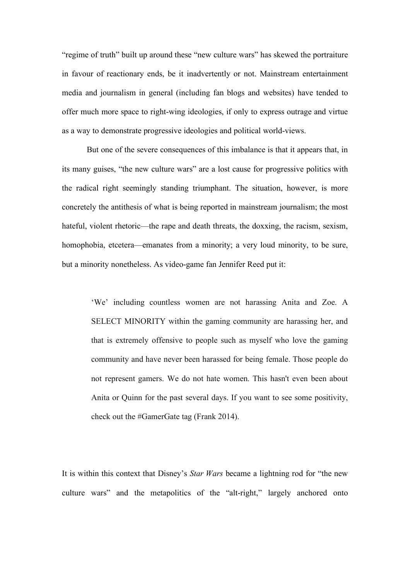"regime of truth" built up around these "new culture wars" has skewed the portraiture in favour of reactionary ends, be it inadvertently or not. Mainstream entertainment media and journalism in general (including fan blogs and websites) have tended to offer much more space to right-wing ideologies, if only to express outrage and virtue as a way to demonstrate progressive ideologies and political world-views.

But one of the severe consequences of this imbalance is that it appears that, in its many guises, "the new culture wars" are a lost cause for progressive politics with the radical right seemingly standing triumphant. The situation, however, is more concretely the antithesis of what is being reported in mainstream journalism; the most hateful, violent rhetoric—the rape and death threats, the doxxing, the racism, sexism, homophobia, etcetera—emanates from a minority; a very loud minority, to be sure, but a minority nonetheless. As video-game fan Jennifer Reed put it:

'We' including countless women are not harassing Anita and Zoe. A SELECT MINORITY within the gaming community are harassing her, and that is extremely offensive to people such as myself who love the gaming community and have never been harassed for being female. Those people do not represent gamers. We do not hate women. This hasn't even been about Anita or Quinn for the past several days. If you want to see some positivity, check out the #GamerGate tag (Frank 2014).

It is within this context that Disney's *Star Wars* became a lightning rod for "the new culture wars" and the metapolitics of the "alt-right," largely anchored onto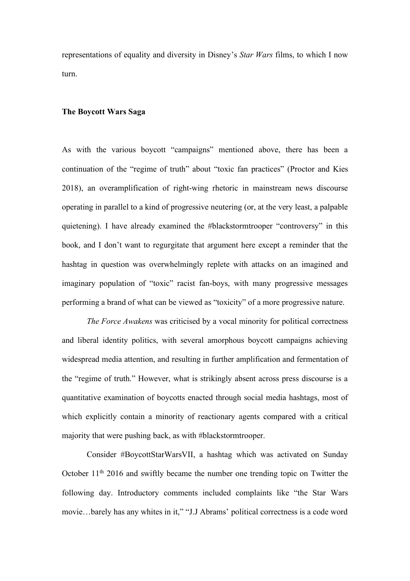representations of equality and diversity in Disney's *Star Wars* films, to which I now turn.

#### **The Boycott Wars Saga**

As with the various boycott "campaigns" mentioned above, there has been a continuation of the "regime of truth" about "toxic fan practices" (Proctor and Kies 2018), an overamplification of right-wing rhetoric in mainstream news discourse operating in parallel to a kind of progressive neutering (or, at the very least, a palpable quietening). I have already examined the #blackstormtrooper "controversy" in this book, and I don't want to regurgitate that argument here except a reminder that the hashtag in question was overwhelmingly replete with attacks on an imagined and imaginary population of "toxic" racist fan-boys, with many progressive messages performing a brand of what can be viewed as "toxicity" of a more progressive nature.

*The Force Awakens* was criticised by a vocal minority for political correctness and liberal identity politics, with several amorphous boycott campaigns achieving widespread media attention, and resulting in further amplification and fermentation of the "regime of truth." However, what is strikingly absent across press discourse is a quantitative examination of boycotts enacted through social media hashtags, most of which explicitly contain a minority of reactionary agents compared with a critical majority that were pushing back, as with #blackstormtrooper.

Consider #BoycottStarWarsVII, a hashtag which was activated on Sunday October 11th 2016 and swiftly became the number one trending topic on Twitter the following day. Introductory comments included complaints like "the Star Wars movie…barely has any whites in it," "J.J Abrams' political correctness is a code word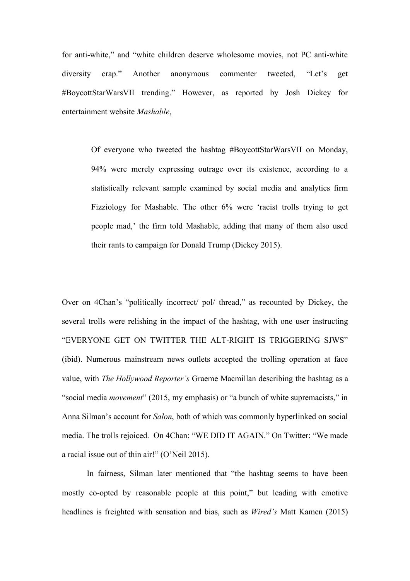for anti-white," and "white children deserve wholesome movies, not PC anti-white diversity crap." Another anonymous commenter tweeted, "Let's get #BoycottStarWarsVII trending." However, as reported by Josh Dickey for entertainment website *Mashable*,

Of everyone who tweeted the hashtag #BoycottStarWarsVII on Monday, 94% were merely expressing outrage over its existence, according to a statistically relevant sample examined by social media and analytics firm Fizziology for Mashable. The other 6% were 'racist trolls trying to get people mad,' the firm told Mashable, adding that many of them also used their rants to campaign for Donald Trump (Dickey 2015).

Over on 4Chan's "politically incorrect/ pol/ thread," as recounted by Dickey, the several trolls were relishing in the impact of the hashtag, with one user instructing "EVERYONE GET ON TWITTER THE ALT-RIGHT IS TRIGGERING SJWS" (ibid). Numerous mainstream news outlets accepted the trolling operation at face value, with *The Hollywood Reporter's* Graeme Macmillan describing the hashtag as a "social media *movement*" (2015, my emphasis) or "a bunch of white supremacists," in Anna Silman's account for *Salon*, both of which was commonly hyperlinked on social media. The trolls rejoiced. On 4Chan: "WE DID IT AGAIN." On Twitter: "We made a racial issue out of thin air!" (O'Neil 2015).

In fairness, Silman later mentioned that "the hashtag seems to have been mostly co-opted by reasonable people at this point," but leading with emotive headlines is freighted with sensation and bias, such as *Wired's* Matt Kamen (2015)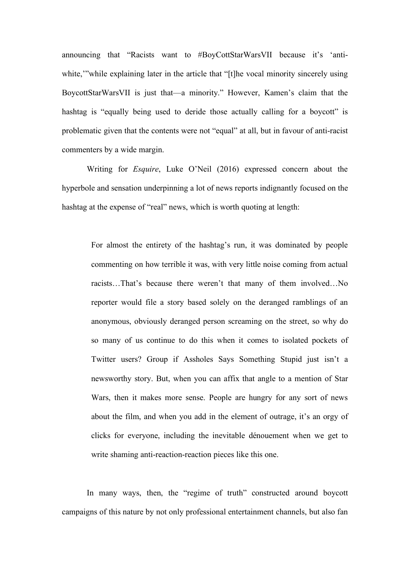announcing that "Racists want to #BoyCottStarWarsVII because it's 'antiwhite," while explaining later in the article that "[t]he vocal minority sincerely using BoycottStarWarsVII is just that—a minority." However, Kamen's claim that the hashtag is "equally being used to deride those actually calling for a boycott" is problematic given that the contents were not "equal" at all, but in favour of anti-racist commenters by a wide margin.

Writing for *Esquire*, Luke O'Neil (2016) expressed concern about the hyperbole and sensation underpinning a lot of news reports indignantly focused on the hashtag at the expense of "real" news, which is worth quoting at length:

For almost the entirety of the hashtag's run, it was dominated by people commenting on how terrible it was, with very little noise coming from actual racists…That's because there weren't that many of them involved…No reporter would file a story based solely on the deranged ramblings of an anonymous, obviously deranged person screaming on the street, so why do so many of us continue to do this when it comes to isolated pockets of Twitter users? Group if Assholes Says Something Stupid just isn't a newsworthy story. But, when you can affix that angle to a mention of Star Wars, then it makes more sense. People are hungry for any sort of news about the film, and when you add in the element of outrage, it's an orgy of clicks for everyone, including the inevitable dénouement when we get to write shaming anti-reaction-reaction pieces like this one.

In many ways, then, the "regime of truth" constructed around boycott campaigns of this nature by not only professional entertainment channels, but also fan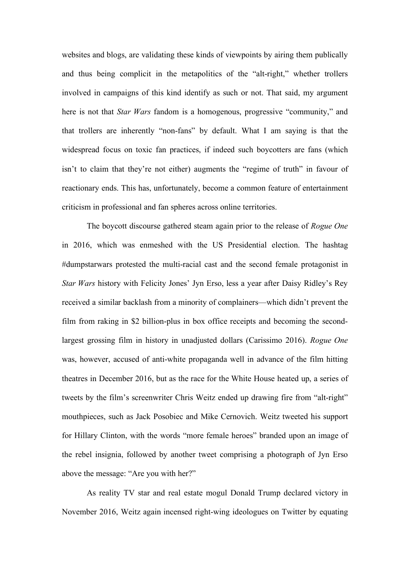websites and blogs, are validating these kinds of viewpoints by airing them publically and thus being complicit in the metapolitics of the "alt-right," whether trollers involved in campaigns of this kind identify as such or not. That said, my argument here is not that *Star Wars* fandom is a homogenous, progressive "community," and that trollers are inherently "non-fans" by default. What I am saying is that the widespread focus on toxic fan practices, if indeed such boycotters are fans (which isn't to claim that they're not either) augments the "regime of truth" in favour of reactionary ends. This has, unfortunately, become a common feature of entertainment criticism in professional and fan spheres across online territories.

The boycott discourse gathered steam again prior to the release of *Rogue One* in 2016, which was enmeshed with the US Presidential election. The hashtag #dumpstarwars protested the multi-racial cast and the second female protagonist in *Star Wars* history with Felicity Jones' Jyn Erso, less a year after Daisy Ridley's Rey received a similar backlash from a minority of complainers—which didn't prevent the film from raking in \$2 billion-plus in box office receipts and becoming the secondlargest grossing film in history in unadjusted dollars (Carissimo 2016). *Rogue One* was, however, accused of anti-white propaganda well in advance of the film hitting theatres in December 2016, but as the race for the White House heated up, a series of tweets by the film's screenwriter Chris Weitz ended up drawing fire from "alt-right" mouthpieces, such as Jack Posobiec and Mike Cernovich. Weitz tweeted his support for Hillary Clinton, with the words "more female heroes" branded upon an image of the rebel insignia, followed by another tweet comprising a photograph of Jyn Erso above the message: "Are you with her?"

As reality TV star and real estate mogul Donald Trump declared victory in November 2016, Weitz again incensed right-wing ideologues on Twitter by equating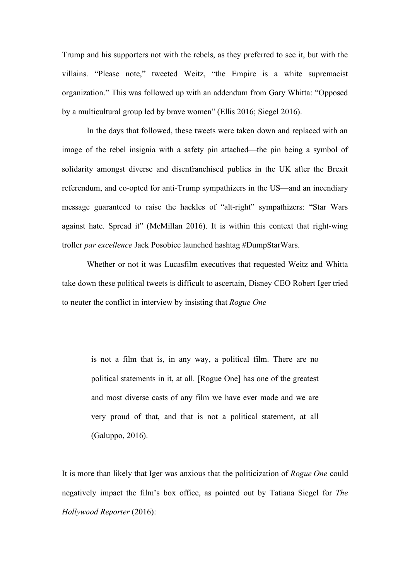Trump and his supporters not with the rebels, as they preferred to see it, but with the villains. "Please note," tweeted Weitz, "the Empire is a white supremacist organization." This was followed up with an addendum from Gary Whitta: "Opposed by a multicultural group led by brave women" (Ellis 2016; Siegel 2016).

In the days that followed, these tweets were taken down and replaced with an image of the rebel insignia with a safety pin attached—the pin being a symbol of solidarity amongst diverse and disenfranchised publics in the UK after the Brexit referendum, and co-opted for anti-Trump sympathizers in the US—and an incendiary message guaranteed to raise the hackles of "alt-right" sympathizers: "Star Wars against hate. Spread it" (McMillan 2016). It is within this context that right-wing troller *par excellence* Jack Posobiec launched hashtag #DumpStarWars.

Whether or not it was Lucasfilm executives that requested Weitz and Whitta take down these political tweets is difficult to ascertain, Disney CEO Robert Iger tried to neuter the conflict in interview by insisting that *Rogue One*

is not a film that is, in any way, a political film. There are no political statements in it, at all. [Rogue One] has one of the greatest and most diverse casts of any film we have ever made and we are very proud of that, and that is not a political statement, at all (Galuppo, 2016).

It is more than likely that Iger was anxious that the politicization of *Rogue One* could negatively impact the film's box office, as pointed out by Tatiana Siegel for *The Hollywood Reporter* (2016):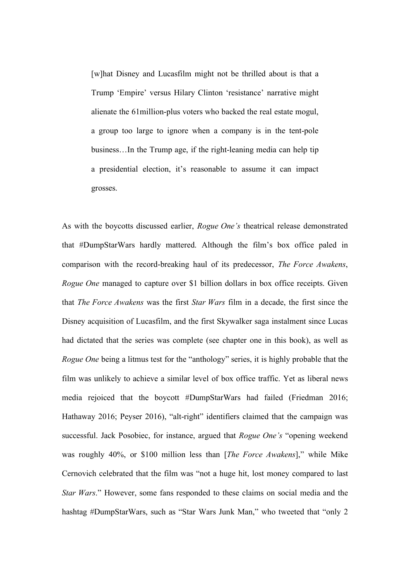[w]hat Disney and Lucasfilm might not be thrilled about is that a Trump 'Empire' versus Hilary Clinton 'resistance' narrative might alienate the 61million-plus voters who backed the real estate mogul, a group too large to ignore when a company is in the tent-pole business…In the Trump age, if the right-leaning media can help tip a presidential election, it's reasonable to assume it can impact grosses.

As with the boycotts discussed earlier, *Rogue One's* theatrical release demonstrated that #DumpStarWars hardly mattered. Although the film's box office paled in comparison with the record-breaking haul of its predecessor, *The Force Awakens*, *Rogue One* managed to capture over \$1 billion dollars in box office receipts. Given that *The Force Awakens* was the first *Star Wars* film in a decade, the first since the Disney acquisition of Lucasfilm, and the first Skywalker saga instalment since Lucas had dictated that the series was complete (see chapter one in this book), as well as *Rogue One* being a litmus test for the "anthology" series, it is highly probable that the film was unlikely to achieve a similar level of box office traffic. Yet as liberal news media rejoiced that the boycott #DumpStarWars had failed (Friedman 2016; Hathaway 2016; Peyser 2016), "alt-right" identifiers claimed that the campaign was successful. Jack Posobiec, for instance, argued that *Rogue One's* "opening weekend was roughly 40%, or \$100 million less than [*The Force Awakens*]," while Mike Cernovich celebrated that the film was "not a huge hit, lost money compared to last *Star Wars*." However, some fans responded to these claims on social media and the hashtag #DumpStarWars, such as "Star Wars Junk Man," who tweeted that "only 2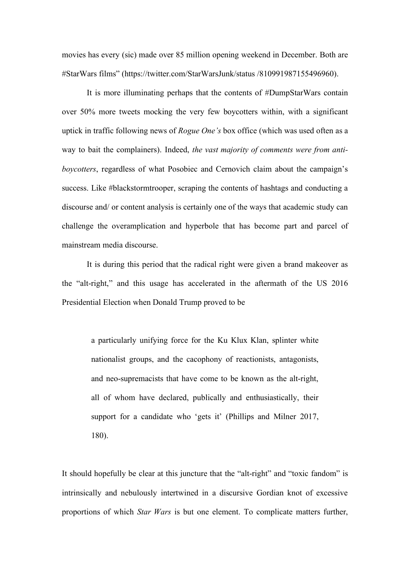movies has every (sic) made over 85 million opening weekend in December. Both are #StarWars films" (https://twitter.com/StarWarsJunk/status /810991987155496960).

It is more illuminating perhaps that the contents of #DumpStarWars contain over 50% more tweets mocking the very few boycotters within, with a significant uptick in traffic following news of *Rogue One's* box office (which was used often as a way to bait the complainers). Indeed, *the vast majority of comments were from antiboycotters*, regardless of what Posobiec and Cernovich claim about the campaign's success. Like #blackstormtrooper, scraping the contents of hashtags and conducting a discourse and/ or content analysis is certainly one of the ways that academic study can challenge the overamplication and hyperbole that has become part and parcel of mainstream media discourse.

It is during this period that the radical right were given a brand makeover as the "alt-right," and this usage has accelerated in the aftermath of the US 2016 Presidential Election when Donald Trump proved to be

a particularly unifying force for the Ku Klux Klan, splinter white nationalist groups, and the cacophony of reactionists, antagonists, and neo-supremacists that have come to be known as the alt-right, all of whom have declared, publically and enthusiastically, their support for a candidate who 'gets it' (Phillips and Milner 2017, 180).

It should hopefully be clear at this juncture that the "alt-right" and "toxic fandom" is intrinsically and nebulously intertwined in a discursive Gordian knot of excessive proportions of which *Star Wars* is but one element. To complicate matters further,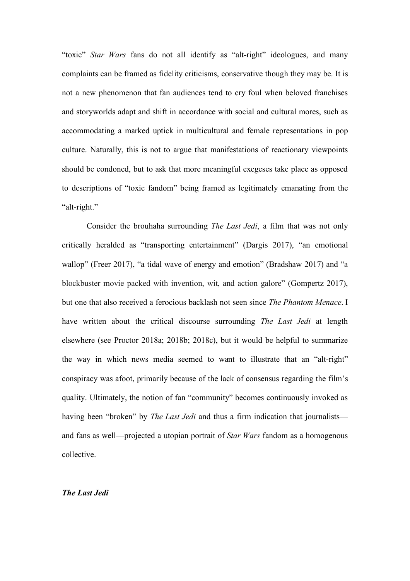"toxic" *Star Wars* fans do not all identify as "alt-right" ideologues, and many complaints can be framed as fidelity criticisms, conservative though they may be. It is not a new phenomenon that fan audiences tend to cry foul when beloved franchises and storyworlds adapt and shift in accordance with social and cultural mores, such as accommodating a marked uptick in multicultural and female representations in pop culture. Naturally, this is not to argue that manifestations of reactionary viewpoints should be condoned, but to ask that more meaningful exegeses take place as opposed to descriptions of "toxic fandom" being framed as legitimately emanating from the "alt-right."

Consider the brouhaha surrounding *The Last Jedi*, a film that was not only critically heralded as "transporting entertainment" (Dargis 2017), "an emotional wallop" (Freer 2017), "a tidal wave of energy and emotion" (Bradshaw 2017) and "a blockbuster movie packed with invention, wit, and action galore" (Gompertz 2017), but one that also received a ferocious backlash not seen since *The Phantom Menace*. I have written about the critical discourse surrounding *The Last Jedi* at length elsewhere (see Proctor 2018a; 2018b; 2018c), but it would be helpful to summarize the way in which news media seemed to want to illustrate that an "alt-right" conspiracy was afoot, primarily because of the lack of consensus regarding the film's quality. Ultimately, the notion of fan "community" becomes continuously invoked as having been "broken" by *The Last Jedi* and thus a firm indication that journalists and fans as well—projected a utopian portrait of *Star Wars* fandom as a homogenous collective.

#### *The Last Jedi*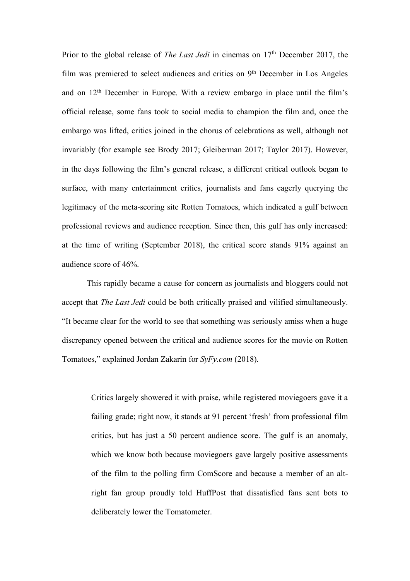Prior to the global release of *The Last Jedi* in cinemas on 17<sup>th</sup> December 2017, the film was premiered to select audiences and critics on 9<sup>th</sup> December in Los Angeles and on 12th December in Europe. With a review embargo in place until the film's official release, some fans took to social media to champion the film and, once the embargo was lifted, critics joined in the chorus of celebrations as well, although not invariably (for example see Brody 2017; Gleiberman 2017; Taylor 2017). However, in the days following the film's general release, a different critical outlook began to surface, with many entertainment critics, journalists and fans eagerly querying the legitimacy of the meta-scoring site Rotten Tomatoes, which indicated a gulf between professional reviews and audience reception. Since then, this gulf has only increased: at the time of writing (September 2018), the critical score stands 91% against an audience score of 46%.

This rapidly became a cause for concern as journalists and bloggers could not accept that *The Last Jedi* could be both critically praised and vilified simultaneously. "It became clear for the world to see that something was seriously amiss when a huge discrepancy opened between the critical and audience scores for the movie on Rotten Tomatoes," explained Jordan Zakarin for *SyFy.com* (2018).

Critics largely showered it with praise, while registered moviegoers gave it a failing grade; right now, it stands at 91 percent 'fresh' from professional film critics, but has just a 50 percent audience score. The gulf is an anomaly, which we know both because moviegoers gave largely positive assessments of the film to the polling firm ComScore and because a member of an altright fan group proudly told HuffPost that dissatisfied fans sent bots to deliberately lower the Tomatometer.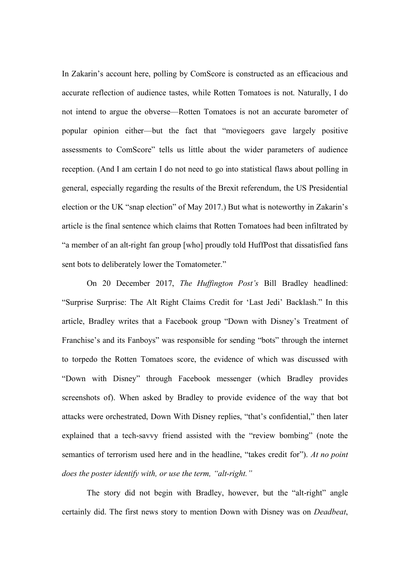In Zakarin's account here, polling by ComScore is constructed as an efficacious and accurate reflection of audience tastes, while Rotten Tomatoes is not. Naturally, I do not intend to argue the obverse—Rotten Tomatoes is not an accurate barometer of popular opinion either—but the fact that "moviegoers gave largely positive assessments to ComScore" tells us little about the wider parameters of audience reception. (And I am certain I do not need to go into statistical flaws about polling in general, especially regarding the results of the Brexit referendum, the US Presidential election or the UK "snap election" of May 2017.) But what is noteworthy in Zakarin's article is the final sentence which claims that Rotten Tomatoes had been infiltrated by "a member of an alt-right fan group [who] proudly told HuffPost that dissatisfied fans sent bots to deliberately lower the Tomatometer."

On 20 December 2017, *The Huffington Post's* Bill Bradley headlined: "Surprise Surprise: The Alt Right Claims Credit for 'Last Jedi' Backlash." In this article, Bradley writes that a Facebook group "Down with Disney's Treatment of Franchise's and its Fanboys" was responsible for sending "bots" through the internet to torpedo the Rotten Tomatoes score, the evidence of which was discussed with "Down with Disney" through Facebook messenger (which Bradley provides screenshots of). When asked by Bradley to provide evidence of the way that bot attacks were orchestrated, Down With Disney replies, "that's confidential," then later explained that a tech-savvy friend assisted with the "review bombing" (note the semantics of terrorism used here and in the headline, "takes credit for"). *At no point does the poster identify with, or use the term, "alt-right."* 

The story did not begin with Bradley, however, but the "alt-right" angle certainly did. The first news story to mention Down with Disney was on *Deadbeat*,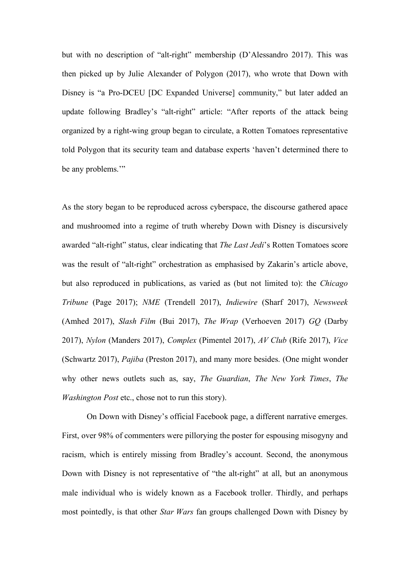but with no description of "alt-right" membership (D'Alessandro 2017). This was then picked up by Julie Alexander of Polygon (2017), who wrote that Down with Disney is "a Pro-DCEU [DC Expanded Universe] community," but later added an update following Bradley's "alt-right" article: "After reports of the attack being organized by a right-wing group began to circulate, a Rotten Tomatoes representative told Polygon that its security team and database experts 'haven't determined there to be any problems.'"

As the story began to be reproduced across cyberspace, the discourse gathered apace and mushroomed into a regime of truth whereby Down with Disney is discursively awarded "alt-right" status, clear indicating that *The Last Jedi*'s Rotten Tomatoes score was the result of "alt-right" orchestration as emphasised by Zakarin's article above, but also reproduced in publications, as varied as (but not limited to): the *Chicago Tribune* (Page 2017); *NME* (Trendell 2017), *Indiewire* (Sharf 2017), *Newsweek* (Amhed 2017), *Slash Film* (Bui 2017), *The Wrap* (Verhoeven 2017) *GQ* (Darby 2017), *Nylon* (Manders 2017), *Complex* (Pimentel 2017), *AV Club* (Rife 2017), *Vice* (Schwartz 2017), *Pajiba* (Preston 2017), and many more besides. (One might wonder why other news outlets such as, say, *The Guardian*, *The New York Times*, *The Washington Post* etc., chose not to run this story).

On Down with Disney's official Facebook page, a different narrative emerges. First, over 98% of commenters were pillorying the poster for espousing misogyny and racism, which is entirely missing from Bradley's account. Second, the anonymous Down with Disney is not representative of "the alt-right" at all, but an anonymous male individual who is widely known as a Facebook troller. Thirdly, and perhaps most pointedly, is that other *Star Wars* fan groups challenged Down with Disney by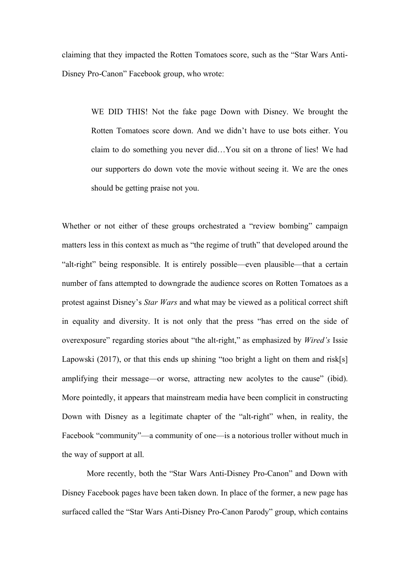claiming that they impacted the Rotten Tomatoes score, such as the "Star Wars Anti-Disney Pro-Canon" Facebook group, who wrote:

> WE DID THIS! Not the fake page Down with Disney. We brought the Rotten Tomatoes score down. And we didn't have to use bots either. You claim to do something you never did…You sit on a throne of lies! We had our supporters do down vote the movie without seeing it. We are the ones should be getting praise not you.

Whether or not either of these groups orchestrated a "review bombing" campaign matters less in this context as much as "the regime of truth" that developed around the "alt-right" being responsible. It is entirely possible—even plausible—that a certain number of fans attempted to downgrade the audience scores on Rotten Tomatoes as a protest against Disney's *Star Wars* and what may be viewed as a political correct shift in equality and diversity. It is not only that the press "has erred on the side of overexposure" regarding stories about "the alt-right," as emphasized by *Wired's* Issie Lapowski (2017), or that this ends up shining "too bright a light on them and risk[s] amplifying their message—or worse, attracting new acolytes to the cause" (ibid). More pointedly, it appears that mainstream media have been complicit in constructing Down with Disney as a legitimate chapter of the "alt-right" when, in reality, the Facebook "community"—a community of one—is a notorious troller without much in the way of support at all.

More recently, both the "Star Wars Anti-Disney Pro-Canon" and Down with Disney Facebook pages have been taken down. In place of the former, a new page has surfaced called the "Star Wars Anti-Disney Pro-Canon Parody" group, which contains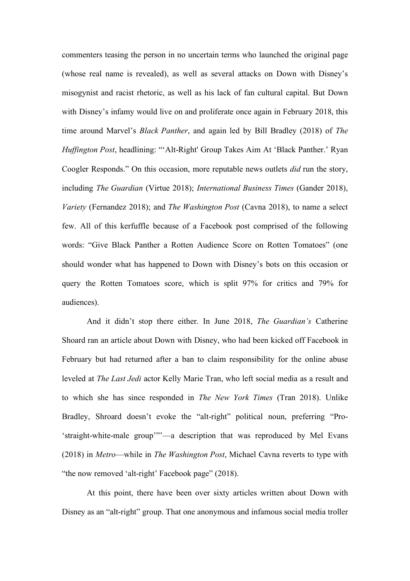commenters teasing the person in no uncertain terms who launched the original page (whose real name is revealed), as well as several attacks on Down with Disney's misogynist and racist rhetoric, as well as his lack of fan cultural capital. But Down with Disney's infamy would live on and proliferate once again in February 2018, this time around Marvel's *Black Panther*, and again led by Bill Bradley (2018) of *The Huffington Post*, headlining: "'Alt-Right' Group Takes Aim At 'Black Panther.' Ryan Coogler Responds." On this occasion, more reputable news outlets *did* run the story, including *The Guardian* (Virtue 2018); *International Business Times* (Gander 2018), *Variety* (Fernandez 2018); and *The Washington Post* (Cavna 2018), to name a select few. All of this kerfuffle because of a Facebook post comprised of the following words: "Give Black Panther a Rotten Audience Score on Rotten Tomatoes" (one should wonder what has happened to Down with Disney's bots on this occasion or query the Rotten Tomatoes score, which is split 97% for critics and 79% for audiences).

And it didn't stop there either. In June 2018, *The Guardian's* Catherine Shoard ran an article about Down with Disney, who had been kicked off Facebook in February but had returned after a ban to claim responsibility for the online abuse leveled at *The Last Jedi* actor Kelly Marie Tran, who left social media as a result and to which she has since responded in *The New York Times* (Tran 2018). Unlike Bradley, Shroard doesn't evoke the "alt-right" political noun, preferring "Pro- 'straight-white-male group'"'—a description that was reproduced by Mel Evans (2018) in *Metro*—while in *The Washington Post*, Michael Cavna reverts to type with "the now removed 'alt-right' Facebook page" (2018).

At this point, there have been over sixty articles written about Down with Disney as an "alt-right" group. That one anonymous and infamous social media troller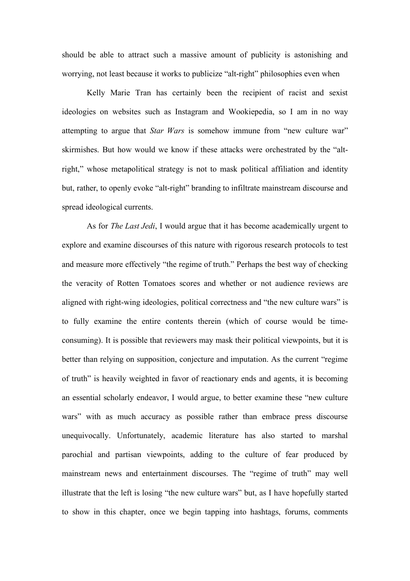should be able to attract such a massive amount of publicity is astonishing and worrying, not least because it works to publicize "alt-right" philosophies even when

Kelly Marie Tran has certainly been the recipient of racist and sexist ideologies on websites such as Instagram and Wookiepedia, so I am in no way attempting to argue that *Star Wars* is somehow immune from "new culture war" skirmishes. But how would we know if these attacks were orchestrated by the "altright," whose metapolitical strategy is not to mask political affiliation and identity but, rather, to openly evoke "alt-right" branding to infiltrate mainstream discourse and spread ideological currents.

As for *The Last Jedi*, I would argue that it has become academically urgent to explore and examine discourses of this nature with rigorous research protocols to test and measure more effectively "the regime of truth." Perhaps the best way of checking the veracity of Rotten Tomatoes scores and whether or not audience reviews are aligned with right-wing ideologies, political correctness and "the new culture wars" is to fully examine the entire contents therein (which of course would be timeconsuming). It is possible that reviewers may mask their political viewpoints, but it is better than relying on supposition, conjecture and imputation. As the current "regime of truth" is heavily weighted in favor of reactionary ends and agents, it is becoming an essential scholarly endeavor, I would argue, to better examine these "new culture wars" with as much accuracy as possible rather than embrace press discourse unequivocally. Unfortunately, academic literature has also started to marshal parochial and partisan viewpoints, adding to the culture of fear produced by mainstream news and entertainment discourses. The "regime of truth" may well illustrate that the left is losing "the new culture wars" but, as I have hopefully started to show in this chapter, once we begin tapping into hashtags, forums, comments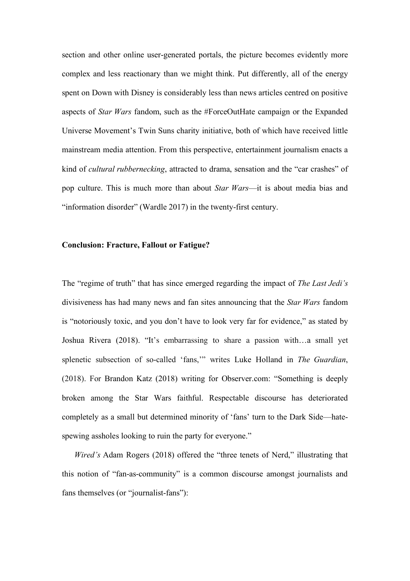section and other online user-generated portals, the picture becomes evidently more complex and less reactionary than we might think. Put differently, all of the energy spent on Down with Disney is considerably less than news articles centred on positive aspects of *Star Wars* fandom, such as the #ForceOutHate campaign or the Expanded Universe Movement's Twin Suns charity initiative, both of which have received little mainstream media attention. From this perspective, entertainment journalism enacts a kind of *cultural rubbernecking*, attracted to drama, sensation and the "car crashes" of pop culture. This is much more than about *Star Wars*—it is about media bias and "information disorder" (Wardle 2017) in the twenty-first century.

### **Conclusion: Fracture, Fallout or Fatigue?**

The "regime of truth" that has since emerged regarding the impact of *The Last Jedi's*  divisiveness has had many news and fan sites announcing that the *Star Wars* fandom is "notoriously toxic, and you don't have to look very far for evidence," as stated by Joshua Rivera (2018). "It's embarrassing to share a passion with…a small yet splenetic subsection of so-called 'fans,'" writes Luke Holland in *The Guardian*, (2018). For Brandon Katz (2018) writing for Observer.com: "Something is deeply broken among the Star Wars faithful. Respectable discourse has deteriorated completely as a small but determined minority of 'fans' turn to the Dark Side—hatespewing assholes looking to ruin the party for everyone."

*Wired's* Adam Rogers (2018) offered the "three tenets of Nerd," illustrating that this notion of "fan-as-community" is a common discourse amongst journalists and fans themselves (or "journalist-fans"):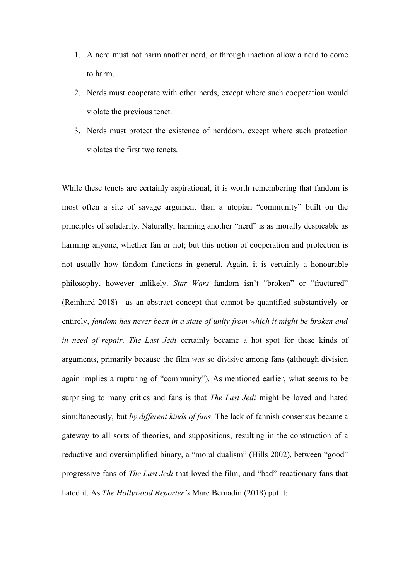- 1. A nerd must not harm another nerd, or through inaction allow a nerd to come to harm.
- 2. Nerds must cooperate with other nerds, except where such cooperation would violate the previous tenet.
- 3. Nerds must protect the existence of nerddom, except where such protection violates the first two tenets.

While these tenets are certainly aspirational, it is worth remembering that fandom is most often a site of savage argument than a utopian "community" built on the principles of solidarity. Naturally, harming another "nerd" is as morally despicable as harming anyone, whether fan or not; but this notion of cooperation and protection is not usually how fandom functions in general. Again, it is certainly a honourable philosophy, however unlikely. *Star Wars* fandom isn't "broken" or "fractured" (Reinhard 2018)—as an abstract concept that cannot be quantified substantively or entirely, *fandom has never been in a state of unity from which it might be broken and in need of repair*. *The Last Jedi* certainly became a hot spot for these kinds of arguments, primarily because the film *was* so divisive among fans (although division again implies a rupturing of "community"). As mentioned earlier, what seems to be surprising to many critics and fans is that *The Last Jedi* might be loved and hated simultaneously, but *by different kinds of fans*. The lack of fannish consensus became a gateway to all sorts of theories, and suppositions, resulting in the construction of a reductive and oversimplified binary, a "moral dualism" (Hills 2002), between "good" progressive fans of *The Last Jedi* that loved the film, and "bad" reactionary fans that hated it. As *The Hollywood Reporter's* Marc Bernadin (2018) put it: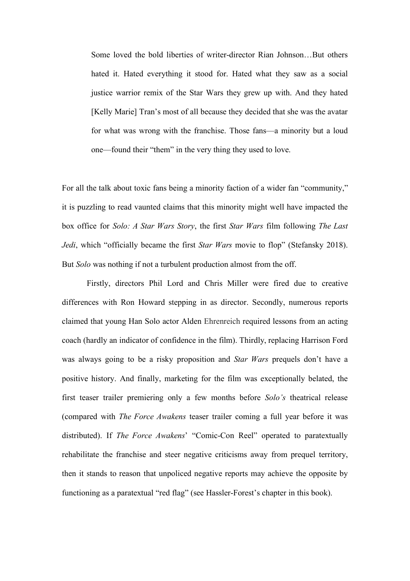Some loved the bold liberties of writer-director Rian Johnson…But others hated it. Hated everything it stood for. Hated what they saw as a social justice warrior remix of the Star Wars they grew up with. And they hated [Kelly Marie] Tran's most of all because they decided that she was the avatar for what was wrong with the franchise. Those fans—a minority but a loud one—found their "them" in the very thing they used to love.

For all the talk about toxic fans being a minority faction of a wider fan "community," it is puzzling to read vaunted claims that this minority might well have impacted the box office for *Solo: A Star Wars Story*, the first *Star Wars* film following *The Last Jedi*, which "officially became the first *Star Wars* movie to flop" (Stefansky 2018). But *Solo* was nothing if not a turbulent production almost from the off.

Firstly, directors Phil Lord and Chris Miller were fired due to creative differences with Ron Howard stepping in as director. Secondly, numerous reports claimed that young Han Solo actor Alden Ehrenreich required lessons from an acting coach (hardly an indicator of confidence in the film). Thirdly, replacing Harrison Ford was always going to be a risky proposition and *Star Wars* prequels don't have a positive history. And finally, marketing for the film was exceptionally belated, the first teaser trailer premiering only a few months before *Solo's* theatrical release (compared with *The Force Awakens* teaser trailer coming a full year before it was distributed). If *The Force Awakens*' "Comic-Con Reel" operated to paratextually rehabilitate the franchise and steer negative criticisms away from prequel territory, then it stands to reason that unpoliced negative reports may achieve the opposite by functioning as a paratextual "red flag" (see Hassler-Forest's chapter in this book).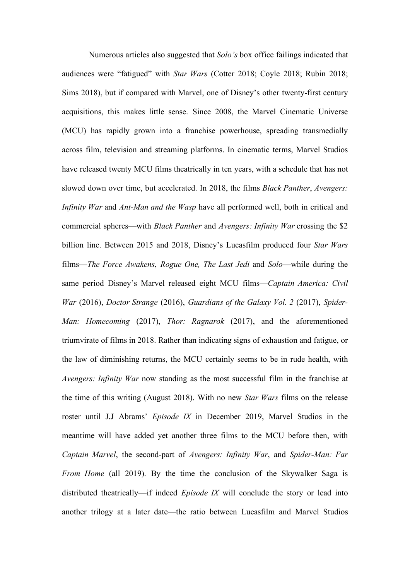Numerous articles also suggested that *Solo's* box office failings indicated that audiences were "fatigued" with *Star Wars* (Cotter 2018; Coyle 2018; Rubin 2018; Sims 2018), but if compared with Marvel, one of Disney's other twenty-first century acquisitions, this makes little sense. Since 2008, the Marvel Cinematic Universe (MCU) has rapidly grown into a franchise powerhouse, spreading transmedially across film, television and streaming platforms. In cinematic terms, Marvel Studios have released twenty MCU films theatrically in ten years, with a schedule that has not slowed down over time, but accelerated. In 2018, the films *Black Panther*, *Avengers: Infinity War* and *Ant-Man and the Wasp* have all performed well, both in critical and commercial spheres—with *Black Panther* and *Avengers: Infinity War* crossing the \$2 billion line. Between 2015 and 2018, Disney's Lucasfilm produced four *Star Wars* films—*The Force Awakens*, *Rogue One, The Last Jedi* and *Solo*—while during the same period Disney's Marvel released eight MCU films—*Captain America: Civil War* (2016), *Doctor Strange* (2016), *Guardians of the Galaxy Vol. 2* (2017), *Spider-Man: Homecoming* (2017), *Thor: Ragnarok* (2017), and the aforementioned triumvirate of films in 2018. Rather than indicating signs of exhaustion and fatigue, or the law of diminishing returns, the MCU certainly seems to be in rude health, with *Avengers: Infinity War* now standing as the most successful film in the franchise at the time of this writing (August 2018). With no new *Star Wars* films on the release roster until J.J Abrams' *Episode IX* in December 2019, Marvel Studios in the meantime will have added yet another three films to the MCU before then, with *Captain Marvel*, the second-part of *Avengers: Infinity War*, and *Spider-Man: Far From Home* (all 2019). By the time the conclusion of the Skywalker Saga is distributed theatrically—if indeed *Episode IX* will conclude the story or lead into another trilogy at a later date—the ratio between Lucasfilm and Marvel Studios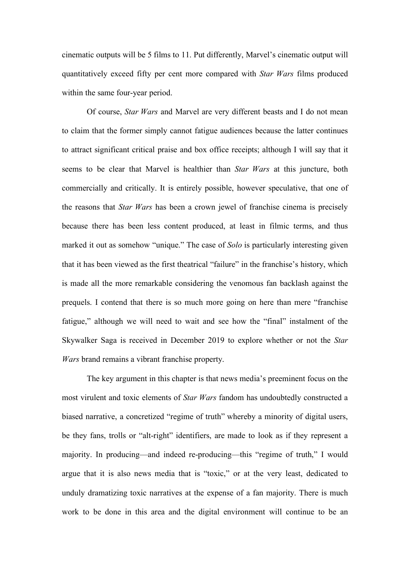cinematic outputs will be 5 films to 11. Put differently, Marvel's cinematic output will quantitatively exceed fifty per cent more compared with *Star Wars* films produced within the same four-year period.

Of course, *Star Wars* and Marvel are very different beasts and I do not mean to claim that the former simply cannot fatigue audiences because the latter continues to attract significant critical praise and box office receipts; although I will say that it seems to be clear that Marvel is healthier than *Star Wars* at this juncture, both commercially and critically. It is entirely possible, however speculative, that one of the reasons that *Star Wars* has been a crown jewel of franchise cinema is precisely because there has been less content produced, at least in filmic terms, and thus marked it out as somehow "unique." The case of *Solo* is particularly interesting given that it has been viewed as the first theatrical "failure" in the franchise's history, which is made all the more remarkable considering the venomous fan backlash against the prequels. I contend that there is so much more going on here than mere "franchise fatigue," although we will need to wait and see how the "final" instalment of the Skywalker Saga is received in December 2019 to explore whether or not the *Star Wars* brand remains a vibrant franchise property.

The key argument in this chapter is that news media's preeminent focus on the most virulent and toxic elements of *Star Wars* fandom has undoubtedly constructed a biased narrative, a concretized "regime of truth" whereby a minority of digital users, be they fans, trolls or "alt-right" identifiers, are made to look as if they represent a majority. In producing—and indeed re-producing—this "regime of truth," I would argue that it is also news media that is "toxic," or at the very least, dedicated to unduly dramatizing toxic narratives at the expense of a fan majority. There is much work to be done in this area and the digital environment will continue to be an